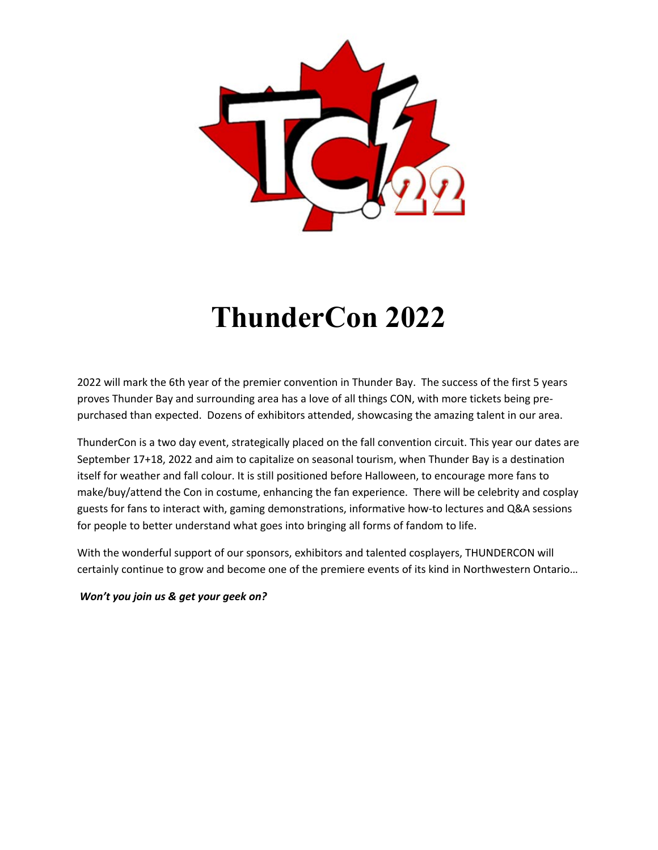

# **ThunderCon 2022**

2022 will mark the 6th year of the premier convention in Thunder Bay. The success of the first 5 years proves Thunder Bay and surrounding area has a love of all things CON, with more tickets being prepurchased than expected. Dozens of exhibitors attended, showcasing the amazing talent in our area.

ThunderCon is a two day event, strategically placed on the fall convention circuit. This year our dates are September 17+18, 2022 and aim to capitalize on seasonal tourism, when Thunder Bay is a destination itself for weather and fall colour. It is still positioned before Halloween, to encourage more fans to make/buy/attend the Con in costume, enhancing the fan experience. There will be celebrity and cosplay guests for fans to interact with, gaming demonstrations, informative how-to lectures and Q&A sessions for people to better understand what goes into bringing all forms of fandom to life.

With the wonderful support of our sponsors, exhibitors and talented cosplayers, THUNDERCON will certainly continue to grow and become one of the premiere events of its kind in Northwestern Ontario…

*Won't you join us & get your geek on?*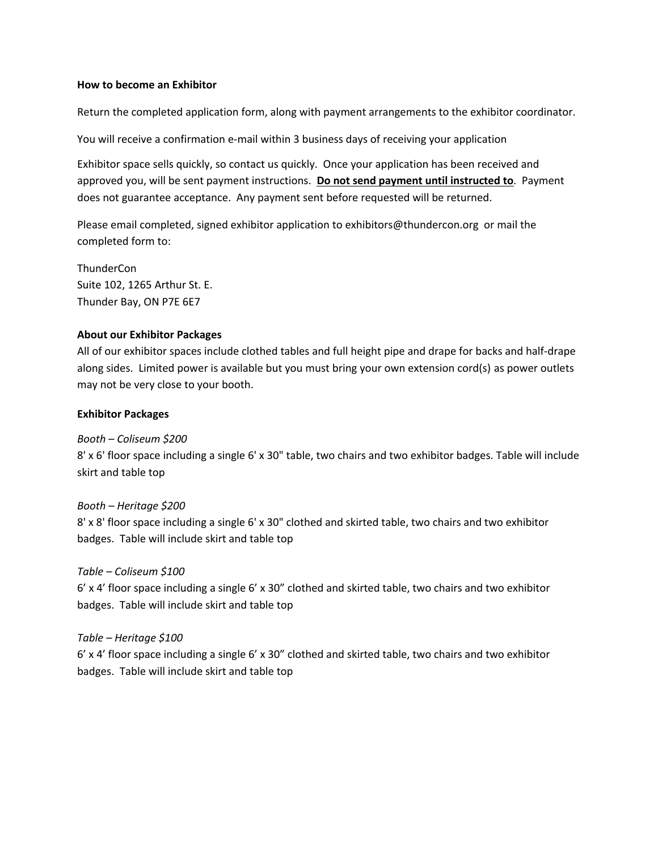#### **How to become an Exhibitor**

Return the completed application form, along with payment arrangements to the exhibitor coordinator.

You will receive a confirmation e-mail within 3 business days of receiving your application

Exhibitor space sells quickly, so contact us quickly. Once your application has been received and approved you, will be sent payment instructions. **Do not send payment until instructed to**. Payment does not guarantee acceptance. Any payment sent before requested will be returned.

Please email completed, signed exhibitor application to exhibitors@thundercon.org or mail the completed form to:

**ThunderCon** Suite 102, 1265 Arthur St. E. Thunder Bay, ON P7E 6E7

#### **About our Exhibitor Packages**

All of our exhibitor spaces include clothed tables and full height pipe and drape for backs and half-drape along sides. Limited power is available but you must bring your own extension cord(s) as power outlets may not be very close to your booth.

#### **Exhibitor Packages**

*Booth – Coliseum \$200*  8' x 6' floor space including a single 6' x 30" table, two chairs and two exhibitor badges. Table will include skirt and table top

# *Booth – Heritage \$200*  8' x 8' floor space including a single 6' x 30" clothed and skirted table, two chairs and two exhibitor badges. Table will include skirt and table top

## *Table – Coliseum \$100*

6' x 4' floor space including a single 6' x 30" clothed and skirted table, two chairs and two exhibitor badges. Table will include skirt and table top

## *Table – Heritage \$100*

6' x 4' floor space including a single 6' x 30" clothed and skirted table, two chairs and two exhibitor badges. Table will include skirt and table top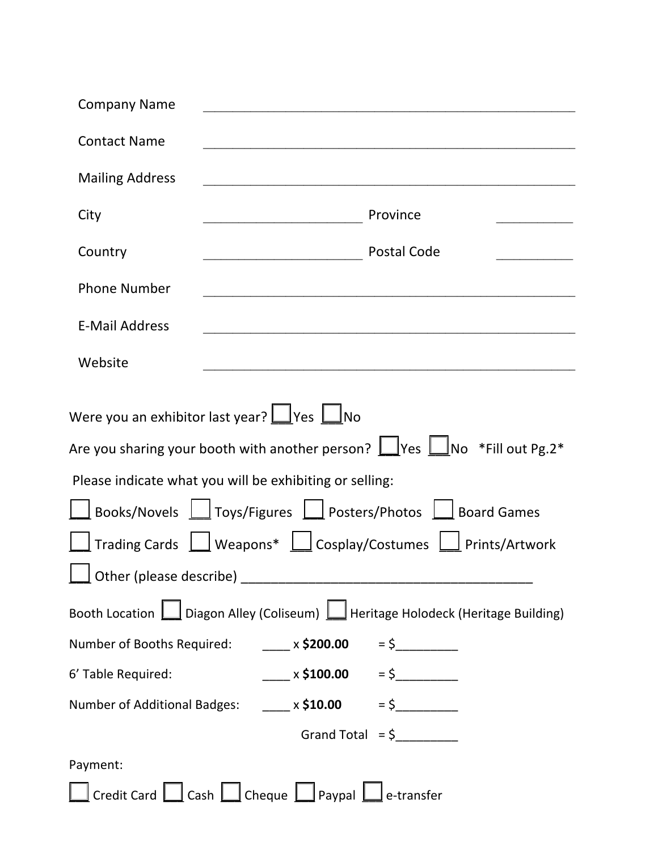| <b>Company Name</b>    |                                                                                                                                                                                                                                                                                                                                                                                                                       |
|------------------------|-----------------------------------------------------------------------------------------------------------------------------------------------------------------------------------------------------------------------------------------------------------------------------------------------------------------------------------------------------------------------------------------------------------------------|
| <b>Contact Name</b>    |                                                                                                                                                                                                                                                                                                                                                                                                                       |
| <b>Mailing Address</b> |                                                                                                                                                                                                                                                                                                                                                                                                                       |
| City                   | Province                                                                                                                                                                                                                                                                                                                                                                                                              |
| Country                | <b>Postal Code</b><br><u> 1980 - Johann Barbara, martxa eta p</u>                                                                                                                                                                                                                                                                                                                                                     |
| <b>Phone Number</b>    |                                                                                                                                                                                                                                                                                                                                                                                                                       |
| <b>E-Mail Address</b>  |                                                                                                                                                                                                                                                                                                                                                                                                                       |
| Website                | <u> 1980 - Andrea Aonaichte ann an t-Aonaichte ann an t-Aonaichte ann an t-Aonaichte ann an t-Aonaichte ann an t-</u>                                                                                                                                                                                                                                                                                                 |
|                        | Were you an exhibitor last year? $\Box$ Yes $\Box$ No<br>Are you sharing your booth with another person? $\Box$ Yes $\Box$ No *Fill out Pg.2*<br>Please indicate what you will be exhibiting or selling:<br>Books/Novels   Toys/Figures   Posters/Photos   Board Games<br>Trading Cards $\boxed{\underline{\qquad}}$ Weapons* $\boxed{\underline{\qquad}}$ Cosplay/Costumes $\boxed{\phantom{\qquad}}$ Prints/Artwork |
|                        | Booth Location   Diagon Alley (Coliseum)   Heritage Holodeck (Heritage Building)                                                                                                                                                                                                                                                                                                                                      |
|                        | Number of Booths Required: $\frac{1}{2}$ x \$200.00 = \$                                                                                                                                                                                                                                                                                                                                                              |
| 6' Table Required:     | $x \le 100.00$ = \$                                                                                                                                                                                                                                                                                                                                                                                                   |
|                        | Number of Additional Badges: $\underline{\qquad \qquad }$ x \$10.00 = \$                                                                                                                                                                                                                                                                                                                                              |
|                        | Grand Total = $\frac{6}{2}$                                                                                                                                                                                                                                                                                                                                                                                           |
| Payment:               |                                                                                                                                                                                                                                                                                                                                                                                                                       |
|                        | Credit Card $\boxed{\phantom{a}}$ Cash $\boxed{\phantom{a}}$ Cheque $\boxed{\phantom{a}}$ Paypal $\boxed{\phantom{a}}$ e-transfer                                                                                                                                                                                                                                                                                     |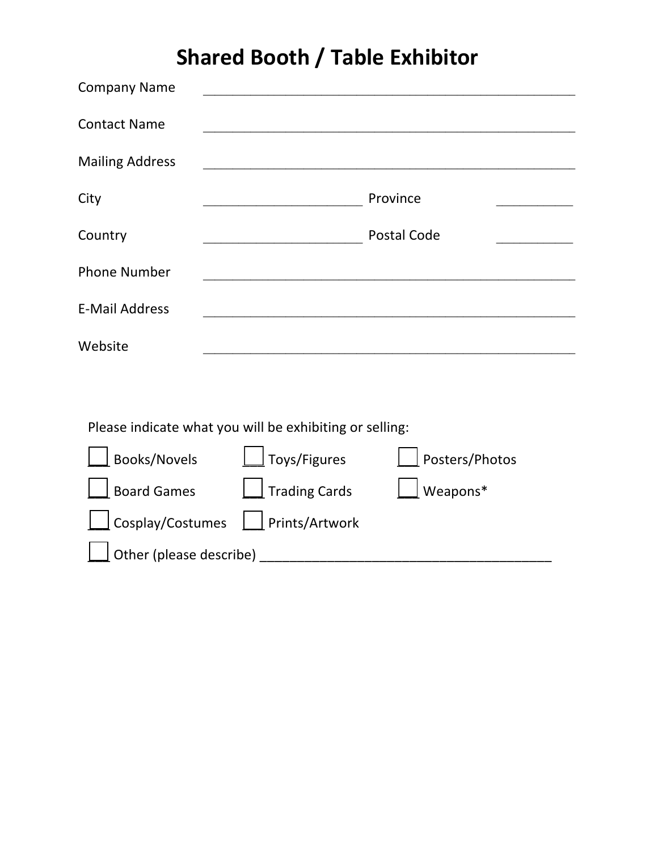# **Shared Booth / Table Exhibitor**

| <b>Company Name</b>    |                    |  |
|------------------------|--------------------|--|
| <b>Contact Name</b>    |                    |  |
| <b>Mailing Address</b> |                    |  |
| City                   | Province           |  |
| Country                | <b>Postal Code</b> |  |
| <b>Phone Number</b>    |                    |  |
| <b>E-Mail Address</b>  |                    |  |
| Website                |                    |  |

Please indicate what you will be exhibiting or selling:

| Books/Novels                      | $\Box$ Toys/Figures  | Posters/Photos  |  |  |
|-----------------------------------|----------------------|-----------------|--|--|
| $\Box$ Board Games                | $\Box$ Trading Cards | $\Box$ Weapons* |  |  |
| Cosplay/Costumes   Prints/Artwork |                      |                 |  |  |
| $\Box$ Other (please describe)    |                      |                 |  |  |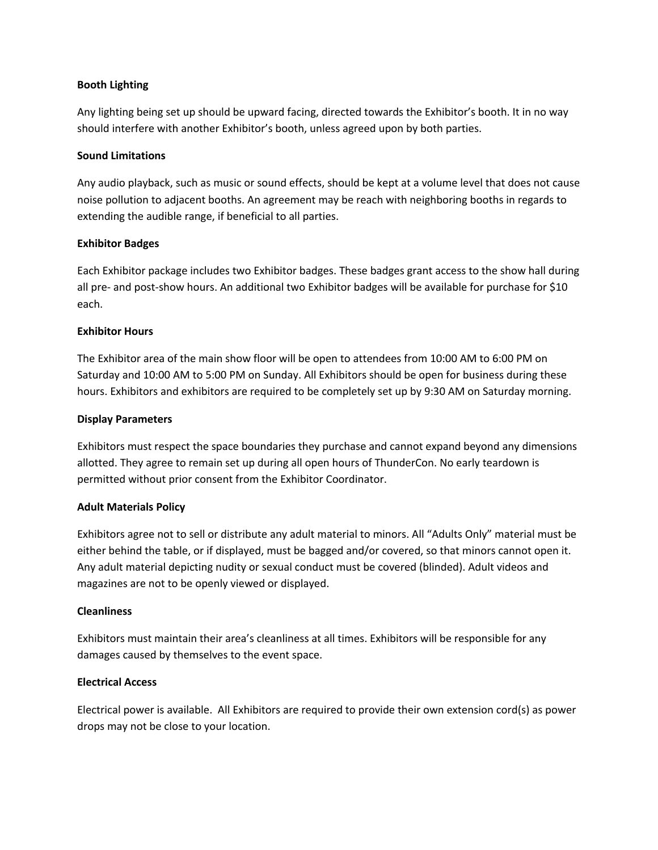#### **Booth Lighting**

Any lighting being set up should be upward facing, directed towards the Exhibitor's booth. It in no way should interfere with another Exhibitor's booth, unless agreed upon by both parties.

#### **Sound Limitations**

Any audio playback, such as music or sound effects, should be kept at a volume level that does not cause noise pollution to adjacent booths. An agreement may be reach with neighboring booths in regards to extending the audible range, if beneficial to all parties.

#### **Exhibitor Badges**

Each Exhibitor package includes two Exhibitor badges. These badges grant access to the show hall during all pre- and post-show hours. An additional two Exhibitor badges will be available for purchase for \$10 each.

#### **Exhibitor Hours**

The Exhibitor area of the main show floor will be open to attendees from 10:00 AM to 6:00 PM on Saturday and 10:00 AM to 5:00 PM on Sunday. All Exhibitors should be open for business during these hours. Exhibitors and exhibitors are required to be completely set up by 9:30 AM on Saturday morning.

#### **Display Parameters**

Exhibitors must respect the space boundaries they purchase and cannot expand beyond any dimensions allotted. They agree to remain set up during all open hours of ThunderCon. No early teardown is permitted without prior consent from the Exhibitor Coordinator.

#### **Adult Materials Policy**

Exhibitors agree not to sell or distribute any adult material to minors. All "Adults Only" material must be either behind the table, or if displayed, must be bagged and/or covered, so that minors cannot open it. Any adult material depicting nudity or sexual conduct must be covered (blinded). Adult videos and magazines are not to be openly viewed or displayed.

#### **Cleanliness**

Exhibitors must maintain their area's cleanliness at all times. Exhibitors will be responsible for any damages caused by themselves to the event space.

#### **Electrical Access**

Electrical power is available. All Exhibitors are required to provide their own extension cord(s) as power drops may not be close to your location.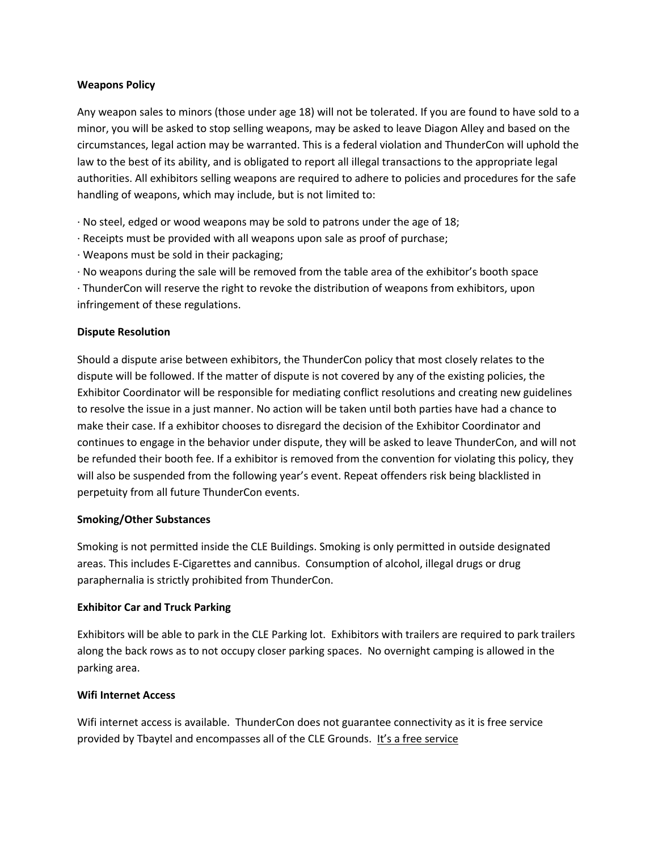#### **Weapons Policy**

Any weapon sales to minors (those under age 18) will not be tolerated. If you are found to have sold to a minor, you will be asked to stop selling weapons, may be asked to leave Diagon Alley and based on the circumstances, legal action may be warranted. This is a federal violation and ThunderCon will uphold the law to the best of its ability, and is obligated to report all illegal transactions to the appropriate legal authorities. All exhibitors selling weapons are required to adhere to policies and procedures for the safe handling of weapons, which may include, but is not limited to:

· No steel, edged or wood weapons may be sold to patrons under the age of 18;

- · Receipts must be provided with all weapons upon sale as proof of purchase;
- · Weapons must be sold in their packaging;
- · No weapons during the sale will be removed from the table area of the exhibitor's booth space

· ThunderCon will reserve the right to revoke the distribution of weapons from exhibitors, upon infringement of these regulations.

#### **Dispute Resolution**

Should a dispute arise between exhibitors, the ThunderCon policy that most closely relates to the dispute will be followed. If the matter of dispute is not covered by any of the existing policies, the Exhibitor Coordinator will be responsible for mediating conflict resolutions and creating new guidelines to resolve the issue in a just manner. No action will be taken until both parties have had a chance to make their case. If a exhibitor chooses to disregard the decision of the Exhibitor Coordinator and continues to engage in the behavior under dispute, they will be asked to leave ThunderCon, and will not be refunded their booth fee. If a exhibitor is removed from the convention for violating this policy, they will also be suspended from the following year's event. Repeat offenders risk being blacklisted in perpetuity from all future ThunderCon events.

#### **Smoking/Other Substances**

Smoking is not permitted inside the CLE Buildings. Smoking is only permitted in outside designated areas. This includes E-Cigarettes and cannibus. Consumption of alcohol, illegal drugs or drug paraphernalia is strictly prohibited from ThunderCon.

#### **Exhibitor Car and Truck Parking**

Exhibitors will be able to park in the CLE Parking lot. Exhibitors with trailers are required to park trailers along the back rows as to not occupy closer parking spaces. No overnight camping is allowed in the parking area.

#### **Wifi Internet Access**

Wifi internet access is available. ThunderCon does not guarantee connectivity as it is free service provided by Tbaytel and encompasses all of the CLE Grounds. It's a free service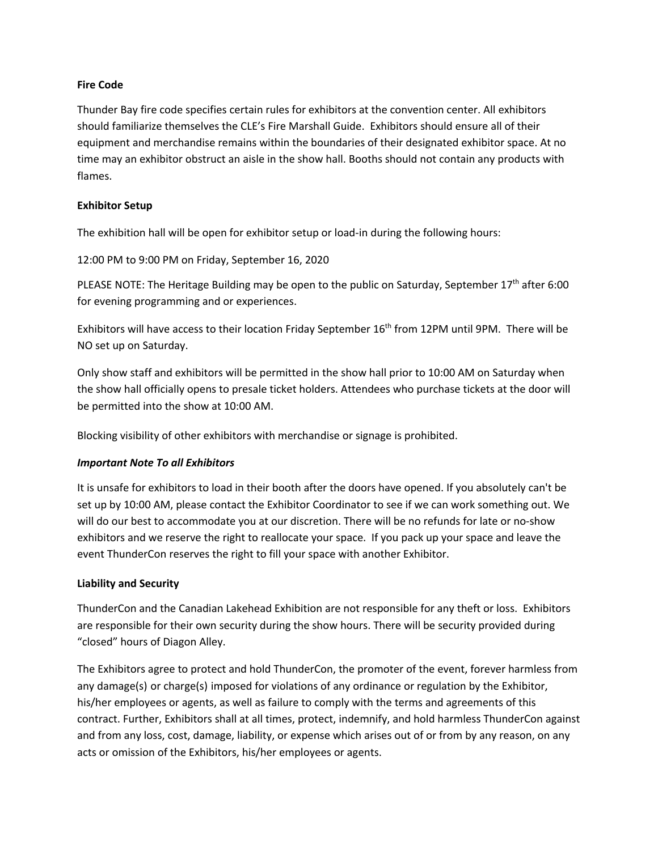#### **Fire Code**

Thunder Bay fire code specifies certain rules for exhibitors at the convention center. All exhibitors should familiarize themselves the CLE's Fire Marshall Guide. Exhibitors should ensure all of their equipment and merchandise remains within the boundaries of their designated exhibitor space. At no time may an exhibitor obstruct an aisle in the show hall. Booths should not contain any products with flames.

#### **Exhibitor Setup**

The exhibition hall will be open for exhibitor setup or load-in during the following hours:

12:00 PM to 9:00 PM on Friday, September 16, 2020

PLEASE NOTE: The Heritage Building may be open to the public on Saturday, September  $17<sup>th</sup>$  after 6:00 for evening programming and or experiences.

Exhibitors will have access to their location Friday September 16<sup>th</sup> from 12PM until 9PM. There will be NO set up on Saturday.

Only show staff and exhibitors will be permitted in the show hall prior to 10:00 AM on Saturday when the show hall officially opens to presale ticket holders. Attendees who purchase tickets at the door will be permitted into the show at 10:00 AM.

Blocking visibility of other exhibitors with merchandise or signage is prohibited.

#### *Important Note To all Exhibitors*

It is unsafe for exhibitors to load in their booth after the doors have opened. If you absolutely can't be set up by 10:00 AM, please contact the Exhibitor Coordinator to see if we can work something out. We will do our best to accommodate you at our discretion. There will be no refunds for late or no-show exhibitors and we reserve the right to reallocate your space. If you pack up your space and leave the event ThunderCon reserves the right to fill your space with another Exhibitor.

#### **Liability and Security**

ThunderCon and the Canadian Lakehead Exhibition are not responsible for any theft or loss. Exhibitors are responsible for their own security during the show hours. There will be security provided during "closed" hours of Diagon Alley.

The Exhibitors agree to protect and hold ThunderCon, the promoter of the event, forever harmless from any damage(s) or charge(s) imposed for violations of any ordinance or regulation by the Exhibitor, his/her employees or agents, as well as failure to comply with the terms and agreements of this contract. Further, Exhibitors shall at all times, protect, indemnify, and hold harmless ThunderCon against and from any loss, cost, damage, liability, or expense which arises out of or from by any reason, on any acts or omission of the Exhibitors, his/her employees or agents.